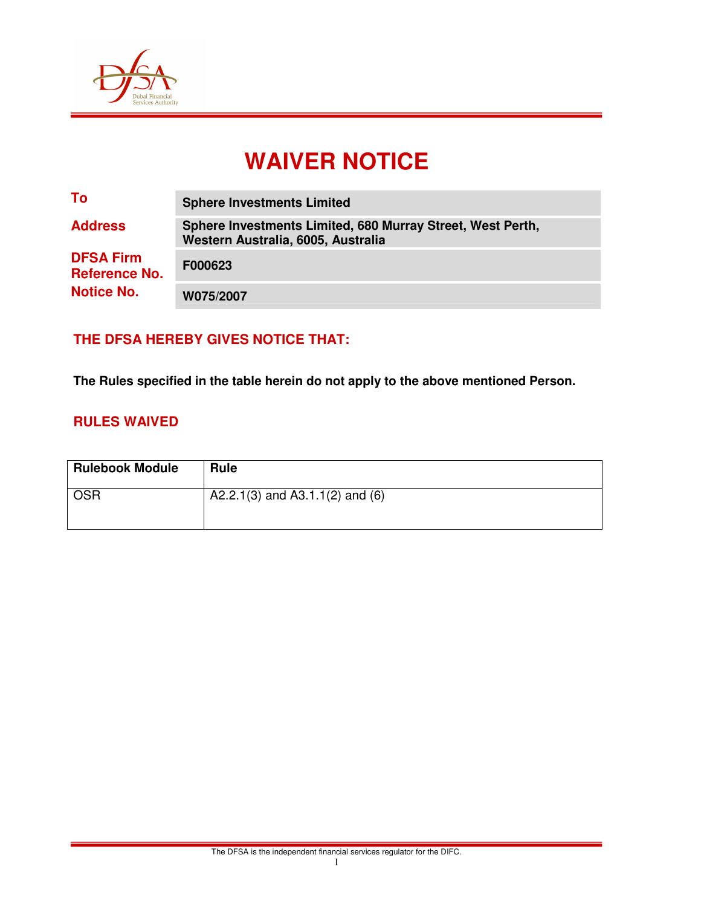

# **WAIVER NOTICE**

| To                                       | <b>Sphere Investments Limited</b>                                                                |
|------------------------------------------|--------------------------------------------------------------------------------------------------|
| <b>Address</b>                           | Sphere Investments Limited, 680 Murray Street, West Perth,<br>Western Australia, 6005, Australia |
| <b>DFSA Firm</b><br><b>Reference No.</b> | F000623                                                                                          |
| <b>Notice No.</b>                        | W075/2007                                                                                        |

## **THE DFSA HEREBY GIVES NOTICE THAT:**

**The Rules specified in the table herein do not apply to the above mentioned Person.** 

#### **RULES WAIVED**

| <b>Rulebook Module</b> | <b>Rule</b>                     |
|------------------------|---------------------------------|
| <b>OSR</b>             | A2.2.1(3) and A3.1.1(2) and (6) |